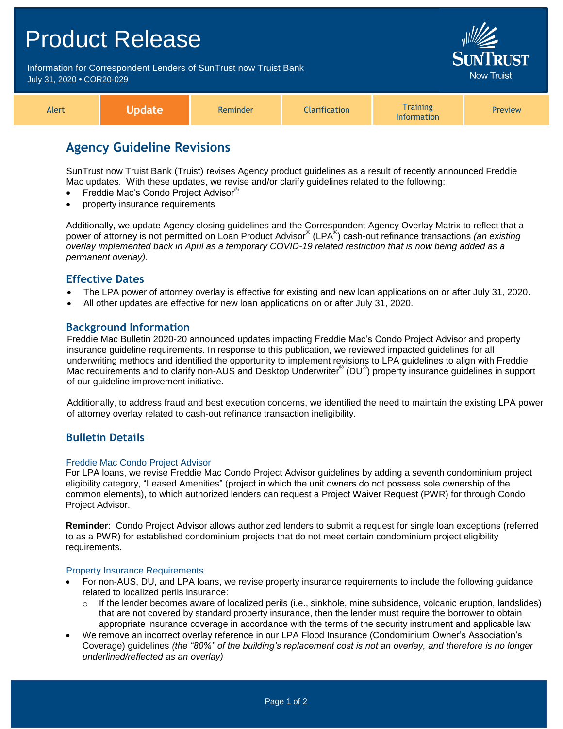# Product Release Information for Correspondent Lenders of SunTrust now Truist Bank July 31, 2020 **•** COR20-029 Alert **Update** Reminder **Clarification Training** Information Preview

# **Agency Guideline Revisions**

SunTrust now Truist Bank (Truist) revises Agency product guidelines as a result of recently announced Freddie Mac updates. With these updates, we revise and/or clarify guidelines related to the following:

- Freddie Mac's Condo Project Advisor®
- property insurance requirements

Additionally, we update Agency closing guidelines and the Correspondent Agency Overlay Matrix to reflect that a power of attorney is not permitted on Loan Product Advisor® (LPA® ) cash-out refinance transactions *(an existing overlay implemented back in April as a temporary COVID-19 related restriction that is now being added as a permanent overlay)*.

# **Effective Dates**

- The LPA power of attorney overlay is effective for existing and new loan applications on or after July 31, 2020.
- All other updates are effective for new loan applications on or after July 31, 2020.

# **Background Information**

Freddie Mac Bulletin 2020-20 announced updates impacting Freddie Mac's Condo Project Advisor and property insurance guideline requirements. In response to this publication, we reviewed impacted guidelines for all underwriting methods and identified the opportunity to implement revisions to LPA guidelines to align with Freddie Mac requirements and to clarify non-AUS and Desktop Underwriter® (DU®) property insurance guidelines in support of our guideline improvement initiative.

Additionally, to address fraud and best execution concerns, we identified the need to maintain the existing LPA power of attorney overlay related to cash-out refinance transaction ineligibility.

# **Bulletin Details**

## Freddie Mac Condo Project Advisor

For LPA loans, we revise Freddie Mac Condo Project Advisor guidelines by adding a seventh condominium project eligibility category, "Leased Amenities" (project in which the unit owners do not possess sole ownership of the common elements), to which authorized lenders can request a Project Waiver Request (PWR) for through Condo Project Advisor.

**Reminder**: Condo Project Advisor allows authorized lenders to submit a request for single loan exceptions (referred to as a PWR) for established condominium projects that do not meet certain condominium project eligibility requirements.

#### Property Insurance Requirements

- For non-AUS, DU, and LPA loans, we revise property insurance requirements to include the following guidance related to localized perils insurance:
	- $\circ$  If the lender becomes aware of localized perils (i.e., sinkhole, mine subsidence, volcanic eruption, landslides) that are not covered by standard property insurance, then the lender must require the borrower to obtain appropriate insurance coverage in accordance with the terms of the security instrument and applicable law
- We remove an incorrect overlay reference in our LPA Flood Insurance (Condominium Owner's Association's Coverage) guidelines *(the "80%" of the building's replacement cost is not an overlay, and therefore is no longer underlined/reflected as an overlay)*